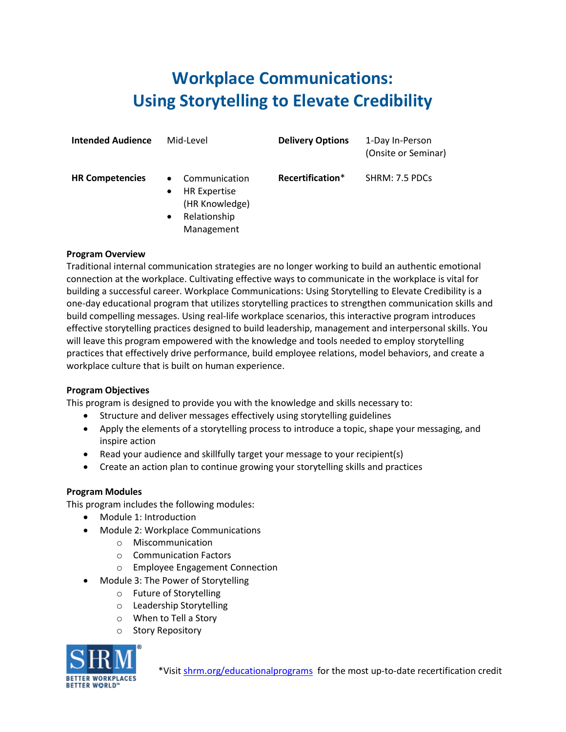## **Workplace Communications: Using Storytelling to Elevate Credibility**

| <b>Intended Audience</b> | Mid-Level                                                                                                                   | <b>Delivery Options</b> | 1-Day In-Person<br>(Onsite or Seminar) |
|--------------------------|-----------------------------------------------------------------------------------------------------------------------------|-------------------------|----------------------------------------|
| <b>HR Competencies</b>   | Communication<br>$\bullet$<br><b>HR Expertise</b><br>$\bullet$<br>(HR Knowledge)<br>Relationship<br>$\bullet$<br>Management | Recertification*        | SHRM: 7.5 PDCs                         |

## **Program Overview**

Traditional internal communication strategies are no longer working to build an authentic emotional connection at the workplace. Cultivating effective ways to communicate in the workplace is vital for building a successful career. Workplace Communications: Using Storytelling to Elevate Credibility is a one-day educational program that utilizes storytelling practices to strengthen communication skills and build compelling messages. Using real-life workplace scenarios, this interactive program introduces effective storytelling practices designed to build leadership, management and interpersonal skills. You will leave this program empowered with the knowledge and tools needed to employ storytelling practices that effectively drive performance, build employee relations, model behaviors, and create a workplace culture that is built on human experience.

## **Program Objectives**

This program is designed to provide you with the knowledge and skills necessary to:

- Structure and deliver messages effectively using storytelling guidelines
- Apply the elements of a storytelling process to introduce a topic, shape your messaging, and inspire action
- Read your audience and skillfully target your message to your recipient(s)
- Create an action plan to continue growing your storytelling skills and practices

## **Program Modules**

This program includes the following modules:

- Module 1: Introduction
- Module 2: Workplace Communications
	- o Miscommunication
	- o Communication Factors
	- o Employee Engagement Connection
- Module 3: The Power of Storytelling
	- o Future of Storytelling
	- o Leadership Storytelling
	- o When to Tell a Story
	- o Story Repository